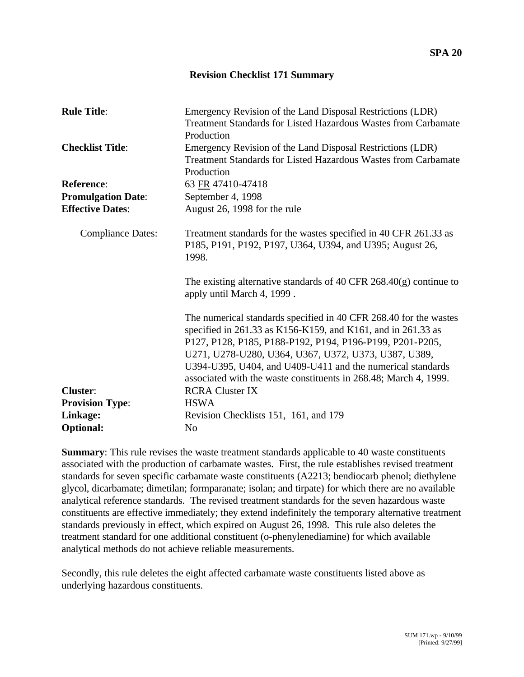## **Revision Checklist 171 Summary**

| <b>Rule Title:</b>        | Emergency Revision of the Land Disposal Restrictions (LDR)<br><b>Treatment Standards for Listed Hazardous Wastes from Carbamate</b><br>Production                                                                                                                                                                                                                                       |
|---------------------------|-----------------------------------------------------------------------------------------------------------------------------------------------------------------------------------------------------------------------------------------------------------------------------------------------------------------------------------------------------------------------------------------|
| <b>Checklist Title:</b>   | Emergency Revision of the Land Disposal Restrictions (LDR)<br>Treatment Standards for Listed Hazardous Wastes from Carbamate<br>Production                                                                                                                                                                                                                                              |
| <b>Reference:</b>         | 63 FR 47410-47418                                                                                                                                                                                                                                                                                                                                                                       |
| <b>Promulgation Date:</b> | September 4, 1998                                                                                                                                                                                                                                                                                                                                                                       |
| <b>Effective Dates:</b>   | August 26, 1998 for the rule                                                                                                                                                                                                                                                                                                                                                            |
| <b>Compliance Dates:</b>  | Treatment standards for the wastes specified in 40 CFR 261.33 as<br>P185, P191, P192, P197, U364, U394, and U395; August 26,<br>1998.                                                                                                                                                                                                                                                   |
|                           | The existing alternative standards of 40 CFR $268.40(g)$ continue to<br>apply until March 4, 1999.                                                                                                                                                                                                                                                                                      |
|                           | The numerical standards specified in 40 CFR 268.40 for the wastes<br>specified in 261.33 as K156-K159, and K161, and in 261.33 as<br>P127, P128, P185, P188-P192, P194, P196-P199, P201-P205,<br>U271, U278-U280, U364, U367, U372, U373, U387, U389,<br>U394-U395, U404, and U409-U411 and the numerical standards<br>associated with the waste constituents in 268.48; March 4, 1999. |
| <b>Cluster:</b>           | <b>RCRA Cluster IX</b>                                                                                                                                                                                                                                                                                                                                                                  |
| <b>Provision Type:</b>    | <b>HSWA</b>                                                                                                                                                                                                                                                                                                                                                                             |
| Linkage:                  | Revision Checklists 151, 161, and 179                                                                                                                                                                                                                                                                                                                                                   |
| <b>Optional:</b>          | N <sub>o</sub>                                                                                                                                                                                                                                                                                                                                                                          |

**Summary:** This rule revises the waste treatment standards applicable to 40 waste constituents associated with the production of carbamate wastes. First, the rule establishes revised treatment standards for seven specific carbamate waste constituents (A2213; bendiocarb phenol; diethylene glycol, dicarbamate; dimetilan; formparanate; isolan; and tirpate) for which there are no available analytical reference standards. The revised treatment standards for the seven hazardous waste constituents are effective immediately; they extend indefinitely the temporary alternative treatment standards previously in effect, which expired on August 26, 1998. This rule also deletes the treatment standard for one additional constituent (o-phenylenediamine) for which available analytical methods do not achieve reliable measurements.

Secondly, this rule deletes the eight affected carbamate waste constituents listed above as underlying hazardous constituents.